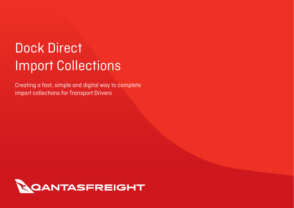# Dock Direct Import Collections

Creating a fast, simple and digital way to complete import collections for Transport Drivers

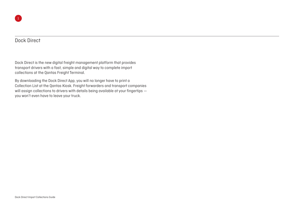## Dock Direct

Dock Direct is the new digital freight management platform that provides transport drivers with a fast, simple and digital way to complete import collections at the Qantas Freight Terminal.

By downloading the Dock Direct App, you will no longer have to print a Collection List at the Qantas Kiosk. Freight forwarders and transport companies will assign collections to drivers with details being available at your fingertips you won't even have to leave your truck.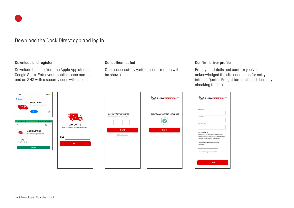## Download the Dock Direct app and log in

#### Download and register

Download the app from the Apple App store or Google Store. Enter your mobile phone number and an SMS with a security code will be sent.

#### Get authenticated

Once successfully verified, confirmation will be shown.

#### Confirm driver profile

Enter your details and confirm you've acknowledged the site conditions for entry into the Qantas Freight terminals and docks by checking the box.







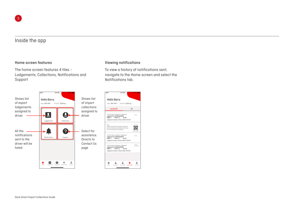## Inside the app

#### Home screen features

The home screen features 4 tiles – Lodgements, Collections, Notifications and Support



#### Viewing notifications

To view a history of notifications sent, navigate to the Home screen and select the Notifications tab.

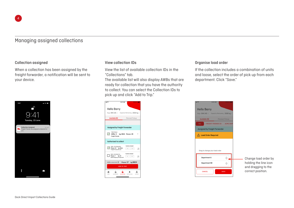## Managing assigned collections

#### Collection assigned

When a collection has been assigned by the freight forwarder, a notification will be sent to your device.



#### View collection IDs

View the list of available collection IDs in the "Collections" tab.

The available list will also display AWBs that are ready for collection that you have the authority to collect. You can select the Collection IDs to pick up and click "Add to Trip."



### Organise load order

If the collection includes a combination of units and loose, select the order of pick up from each department. Click "Save."



Change load order by holding the line icon and dragging to the correct position.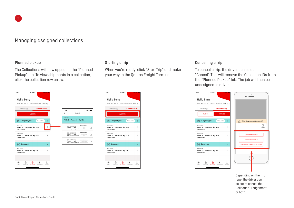## Managing assigned collections

#### Planned pickup

The Collections will now appear in the "Planned Pickup" tab. To view shipments in a collection, click the collection row arrow.



#### $0.41A M$ **Hello Barry** Rego BVK 145 > Capacity Remaning 2000 kg > **Planned Pickup** Available (8) **START TOU** T! Import Bypass FINALISE  $\ddot{\phantom{1}}$ **R.IN74G** noq7⇔o<br>AWBs:3 Pieces: 29 kg: 8814 **Freight Friends** TDE7GELL AWBs: 3 Pieces: 29 kg: 8814  $\overline{ }$ **Freight Friends Explorerment**  $\mathbf{r}$ YYY99W AWBs: 10 Pieces: 42 kg: 876  $\overline{\phantom{a}}$ **Freight Friend**  $\overline{\phantom{a}}$ 音 斋 一音  $\mathbf{A}$

 $\sin \theta =$ 

n

 $\alpha$ 

 $\Omega$ 

Starting a trip

When you're ready, click "Start Trip" and make your way to the Qantas Freight Terminal.

#### Cancelling a trip

To cancel a trip, the driver can select "Cancel". This will remove the Collection IDs from the "Planned Pickup" tab. The job will then be unassigned to driver.



Depending on the trip type, the driver can select to cancel the Collection, Lodgement or both.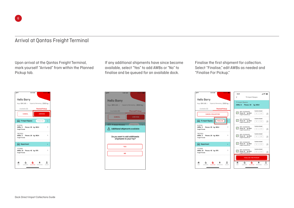## Arrival at Qantas Freight Terminal

Upon arrival at the Qantas Freight Terminal, mark yourself "Arrived" from within the Planned Pickup tab.

If any additional shipments have since become available, select "Yes" to add AWBs or "No" to finalise and be queued for an available dock.

Finalise the first shipment for collection. Select "Finalise," edit AWBs as needed and "Finalise For Pickup."